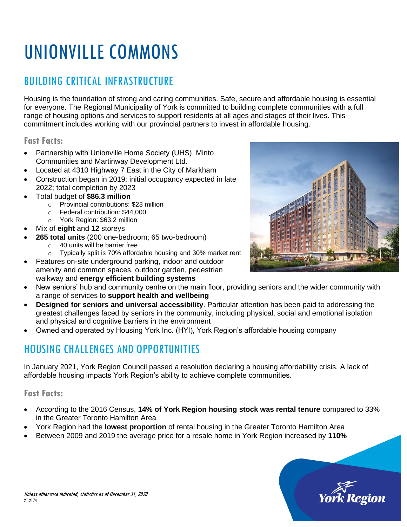# UNIONVILLE COMMONS

### BUILDING CRITICAL INFRASTRUCTURE

Housing is the foundation of strong and caring communities. Safe, secure and affordable housing is essential for everyone. The Regional Municipality of York is committed to building complete communities with a full range of housing options and services to support residents at all ages and stages of their lives. This commitment includes working with our provincial partners to invest in affordable housing.

**Fast Facts:**

- Partnership with Unionville Home Society (UHS), Minto Communities and Martinway Development Ltd.
- Located at 4310 Highway 7 East in the City of Markham
- Construction began in 2019; initial occupancy expected in late 2022; total completion by 2023
- Total budget of **\$86.3 million**
	- o Provincial contributions: \$23 million
	- o Federal contribution: \$44,000
	- o York Region: \$63.2 million
- Mix of **eight** and **12** storeys
- **265 total units** (200 one-bedroom; 65 two-bedroom)
	- o 40 units will be barrier free
	- o Typically split is 70% affordable housing and 30% market rent
- Features on-site underground parking, indoor and outdoor amenity and common spaces, outdoor garden, pedestrian walkway and **energy efficient building systems**
- New seniors' hub and community centre on the main floor, providing seniors and the wider community with a range of services to **support health and wellbeing**
- **Designed for seniors and universal accessibility**. Particular attention has been paid to addressing the greatest challenges faced by seniors in the community, including physical, social and emotional isolation and physical and cognitive barriers in the environment
- Owned and operated by Housing York Inc. (HYI), York Region's affordable housing company

### HOUSING CHALLENGES AND OPPORTUNITIES

In January 2021, York Region Council passed a resolution declaring a housing affordability crisis. A lack of affordable housing impacts York Region's ability to achieve complete communities.

**Fast Facts:**

- According to the 2016 Census, **14% of York Region housing stock was rental tenure** compared to 33% in the Greater Toronto Hamilton Area
- York Region had the **lowest proportion** of rental housing in the Greater Toronto Hamilton Area
- Between 2009 and 2019 the average price for a resale home in York Region increased by **110%**